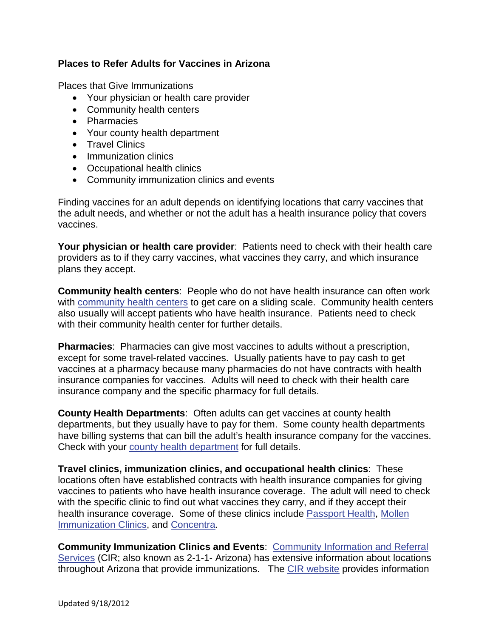## **Places to Refer Adults for Vaccines in Arizona**

Places that Give Immunizations

- Your physician or health care provider
- Community health centers
- Pharmacies
- Your county health department
- Travel Clinics
- Immunization clinics
- Occupational health clinics
- Community immunization clinics and events

Finding vaccines for an adult depends on identifying locations that carry vaccines that the adult needs, and whether or not the adult has a health insurance policy that covers vaccines.

**Your physician or health care provider**: Patients need to check with their health care providers as to if they carry vaccines, what vaccines they carry, and which insurance plans they accept.

**Community health centers**: People who do not have health insurance can often work with [community health centers](http://www.aachc.org/aachc-members) to get care on a sliding scale. Community health centers also usually will accept patients who have health insurance. Patients need to check with their community health center for further details.

**Pharmacies**: Pharmacies can give most vaccines to adults without a prescription, except for some travel-related vaccines. Usually patients have to pay cash to get vaccines at a pharmacy because many pharmacies do not have contracts with health insurance companies for vaccines. Adults will need to check with their health care insurance company and the specific pharmacy for full details.

**County Health Departments**: Often adults can get vaccines at county health departments, but they usually have to pay for them. Some county health departments have billing systems that can bill the adult's health insurance company for the vaccines. Check with your [county health department](http://www.azdhs.gov/diro/LHliaison/countymap.htm) for full details.

**Travel clinics, immunization clinics, and occupational health clinics**: These locations often have established contracts with health insurance companies for giving vaccines to patients who have health insurance coverage. The adult will need to check with the specific clinic to find out what vaccines they carry, and if they accept their health insurance coverage. Some of these clinics include [Passport Health,](http://www.passporthealthusa.com/Arizona) [Mollen](http://www.flushotsusa.com/overview/C109)  [Immunization Clinics,](http://www.flushotsusa.com/overview/C109) and [Concentra.](http://www.concentra.com/patients/vaccinations)

**Community Immunization Clinics and Events**: [Community Information and Referral](http://www.cir.org/211ArizonaBrochure.pdf)  [Services](http://www.cir.org/211ArizonaBrochure.pdf) (CIR; also known as 2-1-1- Arizona) has extensive information about locations throughout Arizona that provide immunizations. The [CIR website](http://www.cir.org/) provides information